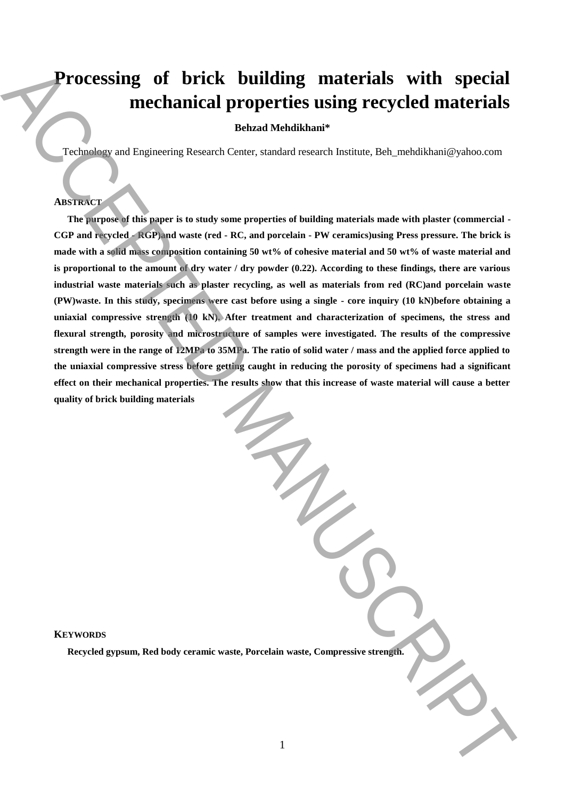# **Processing of brick building materials with special mechanical properties using recycled materials**

## **Behzad Mehdikhani\***

Technology and Engineering Research Center, standard research Institute, Beh\_mehdikhani@yahoo.com

# **ABSTRACT**

**The purpose of this paper is to study some properties of building materials made with plaster (commercial - CGP and recycled - RGP)and waste (red - RC, and porcelain - PW ceramics)using Press pressure. The brick is made with a solid mass composition containing 50 wt% of cohesive material and 50 wt% of waste material and is proportional to the amount of dry water / dry powder (0.22). According to these findings, there are various industrial waste materials such as plaster recycling, as well as materials from red (RC)and porcelain waste (PW)waste. In this study, specimens were cast before using a single - core inquiry (10 kN)before obtaining a uniaxial compressive strength (10 kN). After treatment and characterization of specimens, the stress and flexural strength, porosity and microstructure of samples were investigated. The results of the compressive strength were in the range of 12MPa to 35MPa. The ratio of solid water / mass and the applied force applied to the uniaxial compressive stress before getting caught in reducing the porosity of specimens had a significant effect on their mechanical properties. The results show that this increase of waste material will cause a better quality of brick building materials Recycled gypsum, Red body ceramic waster and a strength waster of the compressive strength.** The support is the strength of the companion of the materials of the materials of the strength of the strength of the strength o

## **KEYWORDS**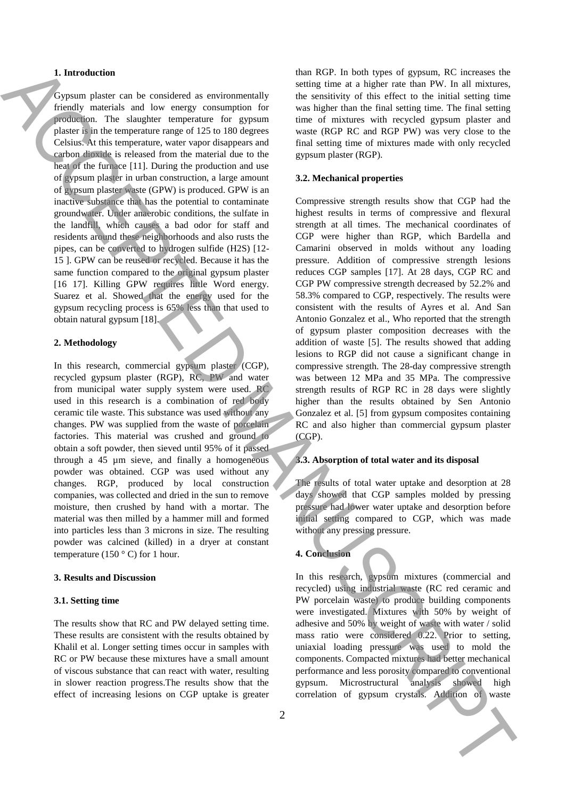## **1. Introduction**

Gypsum plaster can be considered as environmentally friendly materials and low energy consumption for production. The slaughter temperature for gypsum plaster is in the temperature range of 125 to 180 degrees Celsius. At this temperature, water vapor disappears and carbon dioxide is released from the material due to the heat of the furnace [11]. During the production and use of gypsum plaster in urban construction, a large amount of gypsum plaster waste (GPW) is produced. GPW is an inactive substance that has the potential to contaminate groundwater. Under anaerobic conditions, the sulfate in the landfill, which causes a bad odor for staff and residents around these neighborhoods and also rusts the pipes, can be converted to hydrogen sulfide (H2S) [12- 15 ]. GPW can be reused or recycled. Because it has the same function compared to the original gypsum plaster [16 17]. Killing GPW requires little Word energy. Suarez et al. Showed that the energy used for the gypsum recycling process is 65% less than that used to obtain natural gypsum [18].

#### **2. Methodology**

In this research, commercial gypsum plaster (CGP), recycled gypsum plaster (RGP), RC, PW and water from municipal water supply system were used. RC used in this research is a combination of red body ceramic tile waste. This substance was used without any changes. PW was supplied from the waste of porcelain factories. This material was crushed and ground to obtain a soft powder, then sieved until 95% of it passed through a 45 µm sieve, and finally a homogeneous powder was obtained. CGP was used without any changes. RGP, produced by local construction companies, was collected and dried in the sun to remove moisture, then crushed by hand with a mortar. The material was then milled by a hammer mill and formed into particles less than 3 microns in size. The resulting powder was calcined (killed) in a dryer at constant temperature (150 $\degree$  C) for 1 hour.

#### **3. Results and Discussion**

#### **3.1. Setting time**

The results show that RC and PW delayed setting time. These results are consistent with the results obtained by Khalil et al. Longer setting times occur in samples with RC or PW because these mixtures have a small amount of viscous substance that can react with water, resulting in slower reaction progress.The results show that the effect of increasing lesions on CGP uptake is greater than RGP. In both types of gypsum, RC increases the setting time at a higher rate than PW. In all mixtures, the sensitivity of this effect to the initial setting time was higher than the final setting time. The final setting time of mixtures with recycled gypsum plaster and waste (RGP RC and RGP PW) was very close to the final setting time of mixtures made with only recycled gypsum plaster (RGP).

#### **3.2. Mechanical properties**

Compressive strength results show that CGP had the highest results in terms of compressive and flexural strength at all times. The mechanical coordinates of CGP were higher than RGP, which Bardella and Camarini observed in molds without any loading pressure. Addition of compressive strength lesions reduces CGP samples [17]. At 28 days, CGP RC and CGP PW compressive strength decreased by 52.2% and 58.3% compared to CGP, respectively. The results were consistent with the results of Ayres et al. And San Antonio Gonzalez et al., Who reported that the strength of gypsum plaster composition decreases with the addition of waste [5]. The results showed that adding lesions to RGP did not cause a significant change in compressive strength. The 28-day compressive strength was between 12 MPa and 35 MPa. The compressive strength results of RGP RC in 28 days were slightly higher than the results obtained by Sen Antonio Gonzalez et al. [5] from gypsum composites containing RC and also higher than commercial gypsum plaster (CGP). **1.** Introduction of the third is the third better in the the time in the time in the time in the time in the time in the time in the time in the time in the time in the time in the time in the time in the time in the tim

#### **3.3. Absorption of total water and its disposal**

The results of total water uptake and desorption at 28 days showed that CGP samples molded by pressing pressure had lower water uptake and desorption before initial setting compared to CGP, which was made without any pressing pressure.

#### **4. Conclusion**

In this research, gypsum mixtures (commercial and recycled) using industrial waste (RC red ceramic and PW porcelain waste) to produce building components were investigated. Mixtures with 50% by weight of adhesive and 50% by weight of waste with water / solid mass ratio were considered 0.22. Prior to setting, uniaxial loading pressure was used to mold the components. Compacted mixtures had better mechanical performance and less porosity compared to conventional gypsum. Microstructural analysis showed high